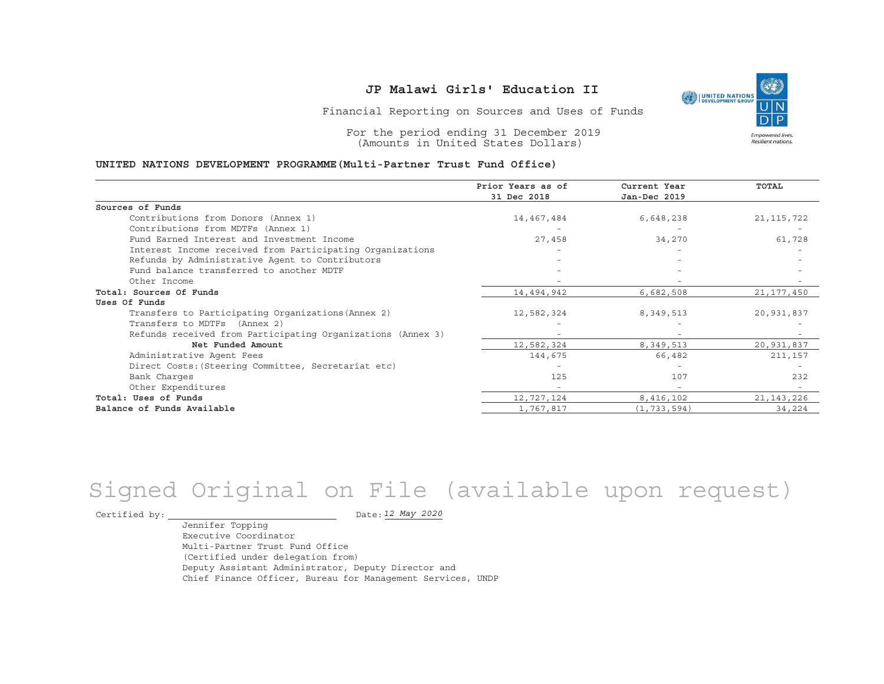Financial Reporting on Sources and Uses of Funds

For the period ending 31 December 2019 (Amounts in United States Dollars)

#### **UNITED NATIONS DEVELOPMENT PROGRAMME(Multi-Partner Trust Fund Office)**

|                                                             | Prior Years as of        | Current Year             | TOTAL        |
|-------------------------------------------------------------|--------------------------|--------------------------|--------------|
|                                                             | 31 Dec 2018              | Jan-Dec 2019             |              |
| Sources of Funds                                            |                          |                          |              |
| Contributions from Donors (Annex 1)                         | 14,467,484               | 6,648,238                | 21, 115, 722 |
| Contributions from MDTFs (Annex 1)                          |                          |                          |              |
| Fund Earned Interest and Investment Income                  | 27,458                   | 34,270                   | 61,728       |
| Interest Income received from Participating Organizations   |                          |                          |              |
| Refunds by Administrative Agent to Contributors             |                          |                          |              |
| Fund balance transferred to another MDTF                    |                          |                          |              |
| Other Income                                                |                          |                          |              |
| Total: Sources Of Funds                                     | 14,494,942               | 6,682,508                | 21, 177, 450 |
| Uses Of Funds                                               |                          |                          |              |
| Transfers to Participating Organizations (Annex 2)          | 12,582,324               | 8,349,513                | 20,931,837   |
| Transfers to MDTFs (Annex 2)                                |                          |                          |              |
| Refunds received from Participating Organizations (Annex 3) |                          |                          |              |
| Net Funded Amount                                           | 12,582,324               | 8,349,513                | 20,931,837   |
| Administrative Agent Fees                                   | 144,675                  | 66,482                   | 211,157      |
| Direct Costs: (Steering Committee, Secretariat etc)         |                          |                          |              |
| Bank Charges                                                | 125                      | 107                      | 232          |
| Other Expenditures                                          | $\overline{\phantom{a}}$ | $\overline{\phantom{a}}$ |              |
| Total: Uses of Funds                                        | 12,727,124               | 8,416,102                | 21, 143, 226 |
| Balance of Funds Available                                  | 1,767,817                | (1, 733, 594)            | 34,224       |

# Signed Original on File (available upon request)

Certified by:  $\overline{\phantom{a}}$ 

*12 May 2020*

Jennifer Topping Executive CoordinatorMulti-Partner Trust Fund Office(Certified under delegation from) Deputy Assistant Administrator, Deputy Director and Chief Finance Officer, Bureau for Management Services, UNDP

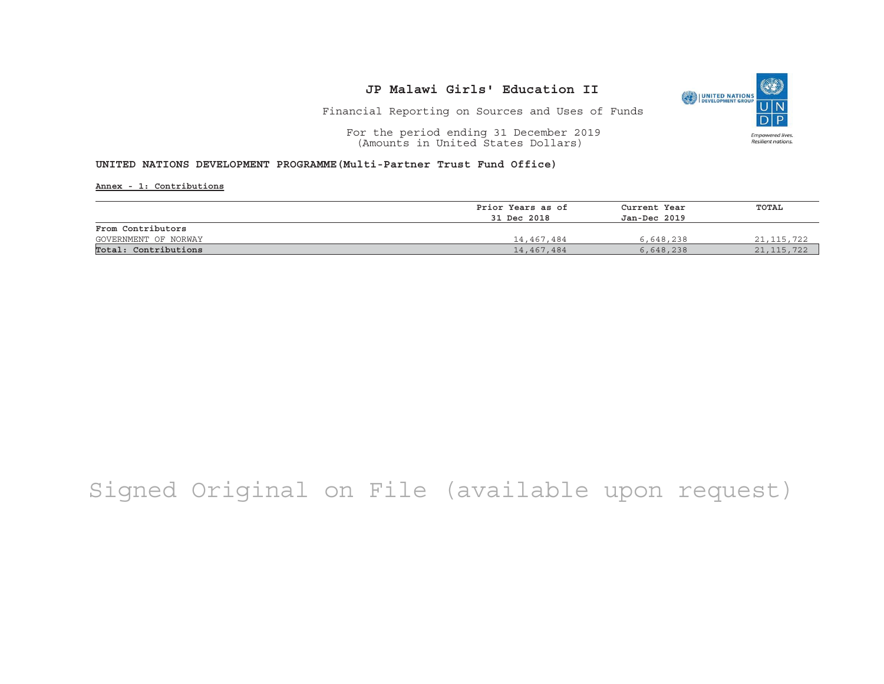

Financial Reporting on Sources and Uses of Funds

For the period ending 31 December 2019 (Amounts in United States Dollars)

#### **UNITED NATIONS DEVELOPMENT PROGRAMME(Multi-Partner Trust Fund Office)**

**Annex - 1: Contributions**

|                      | Prior Years as of | Current Year | TOTAL        |
|----------------------|-------------------|--------------|--------------|
|                      | 31 Dec 2018       | Jan-Dec 2019 |              |
| From Contributors    |                   |              |              |
| GOVERNMENT OF NORWAY | 14,467,484        | 6,648,238    | 21,115,722   |
| Total: Contributions | 14,467,484        | 6,648,238    | 21, 115, 722 |

## Signed Original on File (available upon request)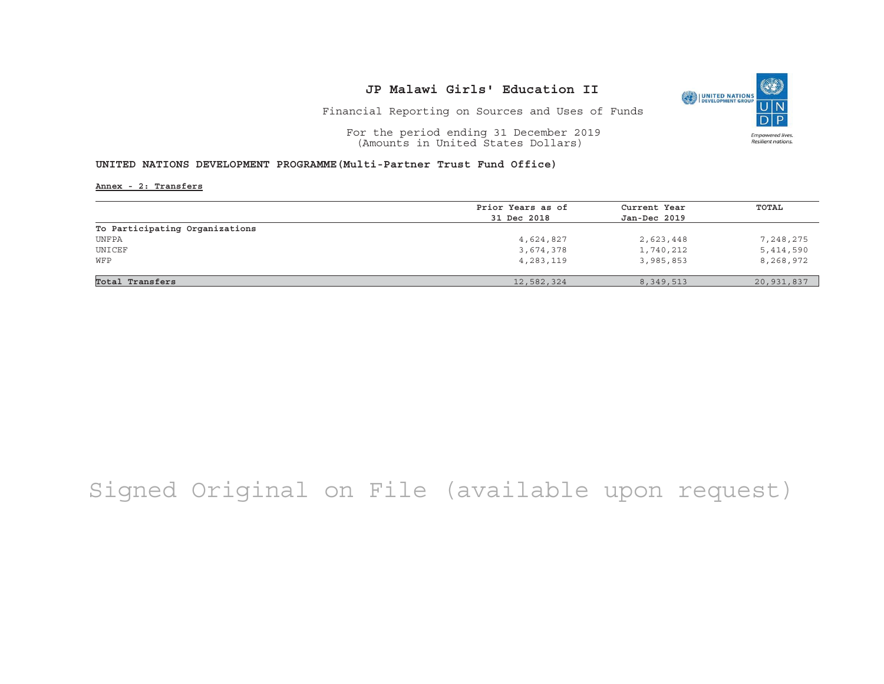

O

**Empowered lives** Resilient nations.

Financial Reporting on Sources and Uses of Funds

For the period ending 31 December 2019 (Amounts in United States Dollars)

#### **UNITED NATIONS DEVELOPMENT PROGRAMME(Multi-Partner Trust Fund Office)**

**Annex - 2: Transfers**

|                                | Prior Years as of | Current Year | TOTAL      |
|--------------------------------|-------------------|--------------|------------|
|                                | 31 Dec 2018       | Jan-Dec 2019 |            |
| To Participating Organizations |                   |              |            |
| UNFPA                          | 4,624,827         | 2,623,448    | 7,248,275  |
| UNICEF                         | 3,674,378         | 1,740,212    | 5,414,590  |
| WFP                            | 4,283,119         | 3,985,853    | 8,268,972  |
|                                |                   |              |            |
| Total Transfers                | 12,582,324        | 8,349,513    | 20,931,837 |

## Signed Original on File (available upon request)